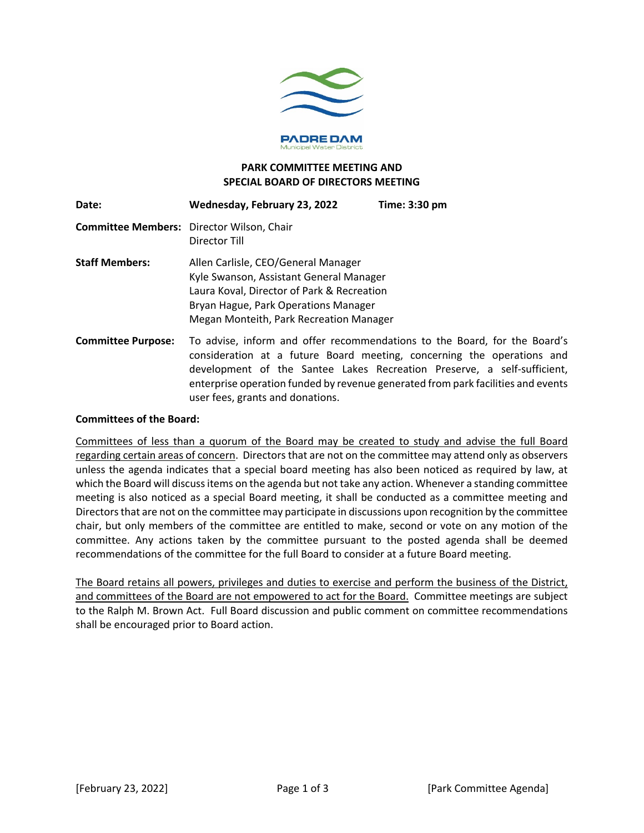

#### **PARK COMMITTEE MEETING AND SPECIAL BOARD OF DIRECTORS MEETING**

| Date:                     | Wednesday, February 23, 2022                                                                                                                                                                                    | Time: 3:30 pm                                                                                                                                                                                                                                                                                                      |
|---------------------------|-----------------------------------------------------------------------------------------------------------------------------------------------------------------------------------------------------------------|--------------------------------------------------------------------------------------------------------------------------------------------------------------------------------------------------------------------------------------------------------------------------------------------------------------------|
|                           | <b>Committee Members:</b> Director Wilson, Chair<br>Director Till                                                                                                                                               |                                                                                                                                                                                                                                                                                                                    |
| <b>Staff Members:</b>     | Allen Carlisle, CEO/General Manager<br>Kyle Swanson, Assistant General Manager<br>Laura Koval, Director of Park & Recreation<br>Bryan Hague, Park Operations Manager<br>Megan Monteith, Park Recreation Manager |                                                                                                                                                                                                                                                                                                                    |
| <b>Committee Purpose:</b> | user fees, grants and donations.                                                                                                                                                                                | To advise, inform and offer recommendations to the Board, for the Board's<br>consideration at a future Board meeting, concerning the operations and<br>development of the Santee Lakes Recreation Preserve, a self-sufficient,<br>enterprise operation funded by revenue generated from park facilities and events |

#### **Committees of the Board:**

Committees of less than a quorum of the Board may be created to study and advise the full Board regarding certain areas of concern. Directors that are not on the committee may attend only as observers unless the agenda indicates that a special board meeting has also been noticed as required by law, at which the Board will discuss items on the agenda but not take any action. Whenever a standing committee meeting is also noticed as a special Board meeting, it shall be conducted as a committee meeting and Directors that are not on the committee may participate in discussions upon recognition by the committee chair, but only members of the committee are entitled to make, second or vote on any motion of the committee. Any actions taken by the committee pursuant to the posted agenda shall be deemed recommendations of the committee for the full Board to consider at a future Board meeting.

The Board retains all powers, privileges and duties to exercise and perform the business of the District, and committees of the Board are not empowered to act for the Board. Committee meetings are subject to the Ralph M. Brown Act. Full Board discussion and public comment on committee recommendations shall be encouraged prior to Board action.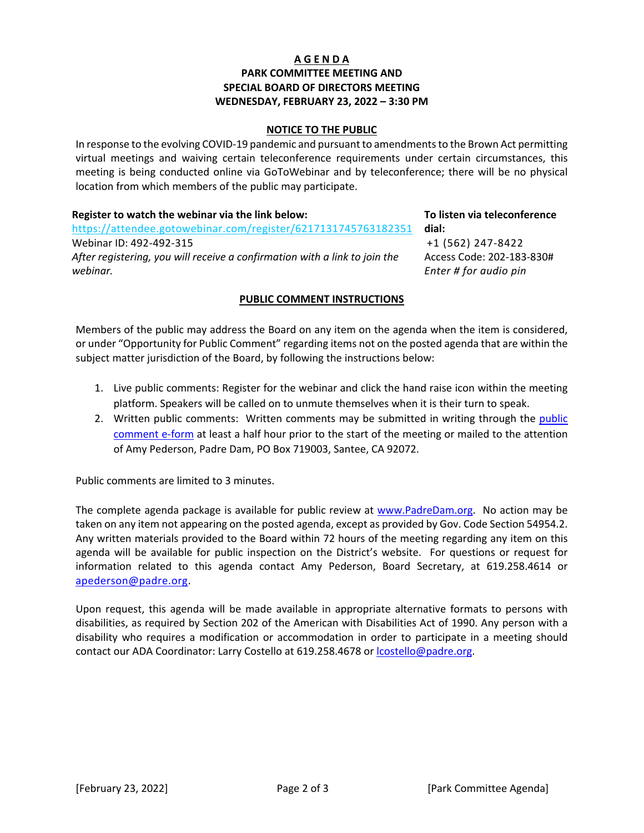# **A G E N D A PARK COMMITTEE MEETING AND SPECIAL BOARD OF DIRECTORS MEETING WEDNESDAY, FEBRUARY 23, 2022 – 3:30 PM**

#### **NOTICE TO THE PUBLIC**

In response to the evolving COVID-19 pandemic and pursuant to amendments to the Brown Act permitting virtual meetings and waiving certain teleconference requirements under certain circumstances, this meeting is being conducted online via GoToWebinar and by teleconference; there will be no physical location from which members of the public may participate.

| Register to watch the webinar via the link below:                          |
|----------------------------------------------------------------------------|
| https://attendee.gotowebinar.com/register/6217131745763182351              |
| Webinar ID: 492-492-315                                                    |
| After registering, you will receive a confirmation with a link to join the |
| webinar.                                                                   |

#### **To listen via teleconference dial:**

 +1 (562) 247-8422 Access Code: 202-183-830# *Enter # for audio pin*

# **PUBLIC COMMENT INSTRUCTIONS**

Members of the public may address the Board on any item on the agenda when the item is considered, or under "Opportunity for Public Comment" regarding items not on the posted agenda that are within the subject matter jurisdiction of the Board, by following the instructions below:

- 1. Live public comments: Register for the webinar and click the hand raise icon within the meeting platform. Speakers will be called on to unmute themselves when it is their turn to speak.
- 2. Written [public](https://www.padredam.org/forms.aspx?FID=85) comments: Written comments may be submitted in writing through the public [comment e-form](https://www.padredam.org/forms.aspx?FID=85) at least a half hour prior to the start of the meeting or mailed to the attention of Amy Pederson, Padre Dam, PO Box 719003, Santee, CA 92072.

Public comments are limited to 3 minutes.

The complete agenda package is available for public review at [www.PadreDam.org.](http://www.padredam.org/) No action may be taken on any item not appearing on the posted agenda, except as provided by Gov. Code Section 54954.2. Any written materials provided to the Board within 72 hours of the meeting regarding any item on this agenda will be available for public inspection on the District's website. For questions or request for information related to this agenda contact Amy Pederson, Board Secretary, at 619.258.4614 or [apederson@padre.org.](mailto:apederson@padre.org)

Upon request, this agenda will be made available in appropriate alternative formats to persons with disabilities, as required by Section 202 of the American with Disabilities Act of 1990. Any person with a disability who requires a modification or accommodation in order to participate in a meeting should contact our ADA Coordinator: Larry Costello at 619.258.4678 or [lcostello@padre.org.](mailto:lcostello@padre.org)